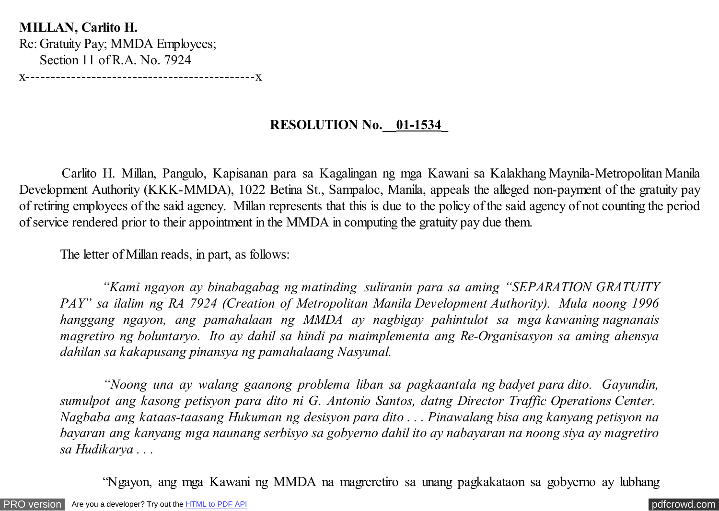**MILLAN, Carlito H.** Re: Gratuity Pay; MMDA Employees; Section 11 of R.A. No. 7924

x---------------------------------------------x

## **RESOLUTION No.\_\_01-1534\_**

 Carlito H. Millan, Pangulo, Kapisanan para sa Kagalingan ng mga Kawani sa Kalakhang Maynila-Metropolitan Manila Development Authority (KKK-MMDA), 1022 Betina St., Sampaloc, Manila, appeals the alleged non-payment of the gratuity pay of retiring employees of the said agency. Millan represents that this is due to the policy of the said agency of not counting the period of service rendered prior to their appointment in the MMDA in computing the gratuity pay due them.

The letter of Millan reads, in part, as follows:

 *"Kami ngayon ay binabagabag ng matinding suliranin para sa aming "SEPARATION GRATUITY PAY" sa ilalim ng RA 7924 (Creation of Metropolitan Manila Development Authority). Mula noong 1996 hanggang ngayon, ang pamahalaan ng MMDA ay nagbigay pahintulot sa mga kawaning nagnanais magretiro ng boluntaryo. Ito ay dahil sa hindi pa maimplementa ang Re-Organisasyon sa aming ahensya dahilan sa kakapusang pinansya ng pamahalaang Nasyunal.*

 *"Noong una ay walang gaanong problema liban sa pagkaantala ng badyet para dito. Gayundin, sumulpot ang kasong petisyon para dito ni G. Antonio Santos, datng Director Traffic Operations Center. Nagbaba ang kataas-taasang Hukuman ng desisyon para dito . . . Pinawalang bisa ang kanyang petisyon na bayaran ang kanyang mga naunang serbisyo sa gobyerno dahil ito ay nabayaran na noong siya ay magretiro sa Hudikarya . . .*

"Ngayon, ang mga Kawani ng MMDA na magreretiro sa unang pagkakataon sa gobyerno ay lubhang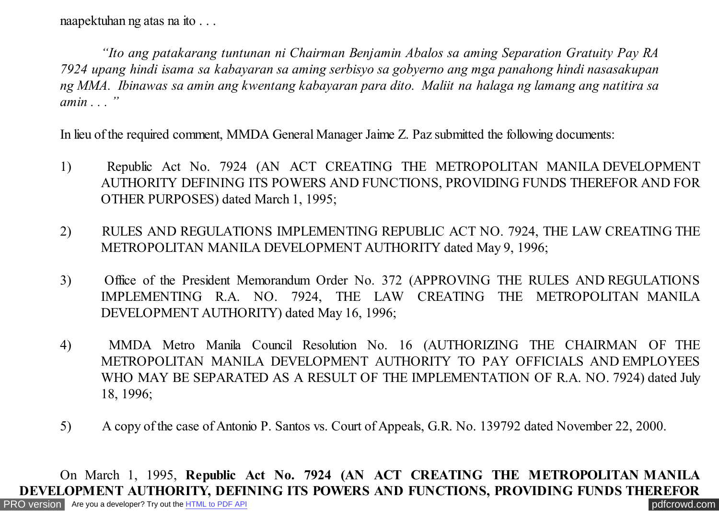naapektuhan ng atas na ito . . .

 *"Ito ang patakarang tuntunan ni Chairman Benjamin Abalos sa aming Separation Gratuity Pay RA 7924 upang hindi isama sa kabayaran sa aming serbisyo sa gobyerno ang mga panahong hindi nasasakupan ng MMA. Ibinawas sa amin ang kwentang kabayaran para dito. Maliit na halaga ng lamang ang natitira sa amin . . . "*

In lieu of the required comment, MMDA General Manager Jaime Z. Paz submitted the following documents:

- 1) Republic Act No. 7924 (AN ACT CREATING THE METROPOLITAN MANILA DEVELOPMENT AUTHORITY DEFINING ITS POWERS AND FUNCTIONS, PROVIDING FUNDS THEREFOR AND FOR OTHER PURPOSES) dated March 1, 1995;
- 2) RULES AND REGULATIONS IMPLEMENTING REPUBLIC ACT NO. 7924, THE LAW CREATING THE METROPOLITAN MANILA DEVELOPMENT AUTHORITY dated May 9, 1996;
- 3) Office of the President Memorandum Order No. 372 (APPROVING THE RULES AND REGULATIONS IMPLEMENTING R.A. NO. 7924, THE LAW CREATING THE METROPOLITAN MANILA DEVELOPMENT AUTHORITY) dated May 16, 1996;
- 4) MMDA Metro Manila Council Resolution No. 16 (AUTHORIZING THE CHAIRMAN OF THE METROPOLITAN MANILA DEVELOPMENT AUTHORITY TO PAY OFFICIALS AND EMPLOYEES WHO MAY BE SEPARATED AS A RESULT OF THE IMPLEMENTATION OF R.A. NO. 7924) dated July 18, 1996;
- 5) A copy of the case of Antonio P. Santos vs. Court of Appeals, G.R. No. 139792 dated November 22, 2000.

On March 1, 1995, **Republic Act No. 7924 (AN ACT CREATING THE METROPOLITAN MANILA DEVELOPMENT AUTHORITY, DEFINING ITS POWERS AND FUNCTIONS, PROVIDING FUNDS THEREFOR**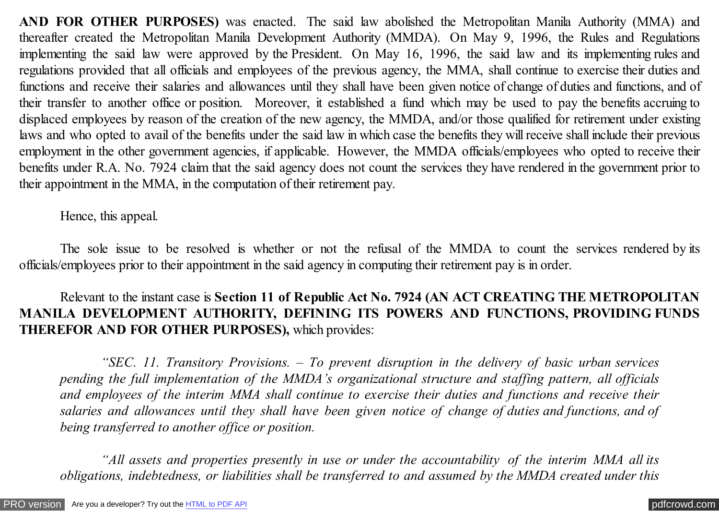**AND FOR OTHER PURPOSES)** was enacted. The said law abolished the Metropolitan Manila Authority (MMA) and thereafter created the Metropolitan Manila Development Authority (MMDA). On May 9, 1996, the Rules and Regulations implementing the said law were approved by the President. On May 16, 1996, the said law and its implementing rules and regulations provided that all officials and employees of the previous agency, the MMA, shall continue to exercise their duties and functions and receive their salaries and allowances until they shall have been given notice of change of duties and functions, and of their transfer to another office or position. Moreover, it established a fund which may be used to pay the benefits accruing to displaced employees by reason of the creation of the new agency, the MMDA, and/or those qualified for retirement under existing laws and who opted to avail of the benefits under the said law in which case the benefits they will receive shall include their previous employment in the other government agencies, if applicable. However, the MMDA officials/employees who opted to receive their benefits under R.A. No. 7924 claim that the said agency does not count the services they have rendered in the government prior to their appointment in the MMA, in the computation of their retirement pay.

Hence, this appeal.

The sole issue to be resolved is whether or not the refusal of the MMDA to count the services rendered by its officials/employees prior to their appointment in the said agency in computing their retirement pay is in order.

Relevant to the instant case is **Section 11 of Republic Act No. 7924 (AN ACT CREATING THE METROPOLITAN MANILA DEVELOPMENT AUTHORITY, DEFINING ITS POWERS AND FUNCTIONS, PROVIDING FUNDS THEREFOR AND FOR OTHER PURPOSES),** which provides:

*"SEC. 11. Transitory Provisions. – To prevent disruption in the delivery of basic urban services pending the full implementation of the MMDA's organizational structure and staffing pattern, all officials and employees of the interim MMA shall continue to exercise their duties and functions and receive their salaries and allowances until they shall have been given notice of change of duties and functions, and of being transferred to another office or position.*

*"All assets and properties presently in use or under the accountability of the interim MMA all its obligations, indebtedness, or liabilities shall be transferred to and assumed by the MMDA created under this*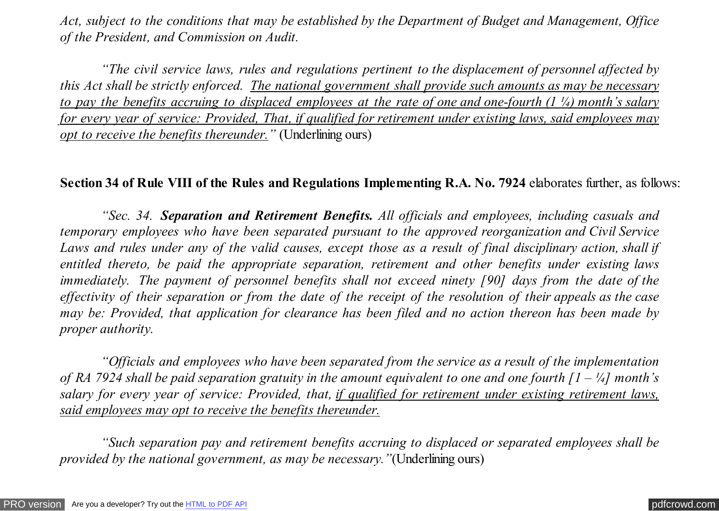*Act, subject to the conditions that may be established by the Department of Budget and Management, Office of the President, and Commission on Audit.*

*"The civil service laws, rules and regulations pertinent to the displacement of personnel affected by this Act shall be strictly enforced. The national government shall provide such amounts as may be necessary to pay the benefits accruing to displaced employees at the rate of one and one-fourth (1 ¼) month's salary for every year of service: Provided, That, if qualified for retirement under existing laws, said employees may opt to receive the benefits thereunder.*" (Underlining ours)

## **Section 34 of Rule VIII of the Rules and Regulations Implementing R.A. No. 7924** elaborates further, as follows:

*"Sec. 34. Separation and Retirement Benefits. All officials and employees, including casuals and temporary employees who have been separated pursuant to the approved reorganization and Civil Service Laws and rules under any of the valid causes, except those as a result of final disciplinary action, shall if entitled thereto, be paid the appropriate separation, retirement and other benefits under existing laws immediately. The payment of personnel benefits shall not exceed ninety [90] days from the date of the effectivity of their separation or from the date of the receipt of the resolution of their appeals as the case may be: Provided, that application for clearance has been filed and no action thereon has been made by proper authority.*

*"Officials and employees who have been separated from the service as a result of the implementation of RA 7924 shall be paid separation gratuity in the amount equivalent to one and one fourth [1 – ¼] month's salary for every year of service: Provided, that, if qualified for retirement under existing retirement laws, said employees may opt to receive the benefits thereunder.*

*"Such separation pay and retirement benefits accruing to displaced or separated employees shall be provided by the national government, as may be necessary."*(Underlining ours)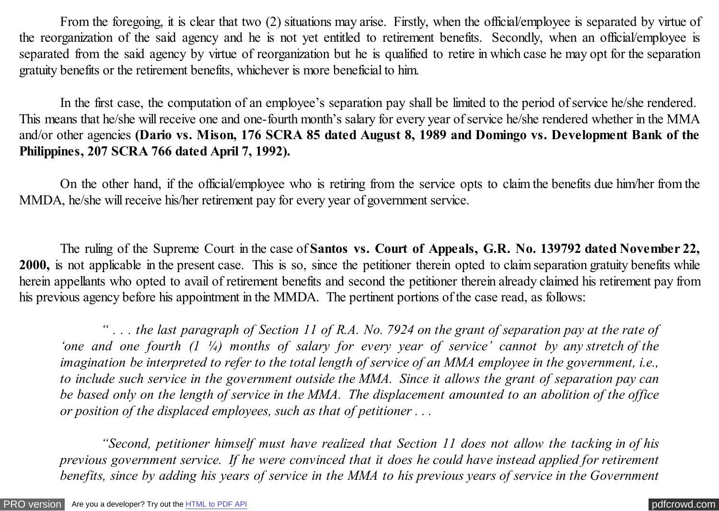From the foregoing, it is clear that two (2) situations may arise. Firstly, when the official/employee is separated by virtue of the reorganization of the said agency and he is not yet entitled to retirement benefits. Secondly, when an official/employee is separated from the said agency by virtue of reorganization but he is qualified to retire in which case he may opt for the separation gratuity benefits or the retirement benefits, whichever is more beneficial to him.

In the first case, the computation of an employee's separation pay shall be limited to the period of service he/she rendered. This means that he/she will receive one and one-fourth month's salary for every year of service he/she rendered whether in the MMA and/or other agencies **(Dario vs. Mison, 176 SCRA 85 dated August 8, 1989 and Domingo vs. Development Bank of the Philippines, 207 SCRA 766 dated April 7, 1992).**

On the other hand, if the official/employee who is retiring from the service opts to claim the benefits due him/her from the MMDA, he/she will receive his/her retirement pay for every year of government service.

The ruling of the Supreme Court in the case of **Santos vs. Court of Appeals, G.R. No. 139792 dated November 22, 2000,** is not applicable in the present case. This is so, since the petitioner therein opted to claim separation gratuity benefits while herein appellants who opted to avail of retirement benefits and second the petitioner therein already claimed his retirement pay from his previous agency before his appointment in the MMDA. The pertinent portions of the case read, as follows:

*" . . . the last paragraph of Section 11 of R.A. No. 7924 on the grant of separation pay at the rate of 'one and one fourth (1 ¼) months of salary for every year of service' cannot by any stretch of the imagination be interpreted to refer to the total length of service of an MMA employee in the government, i.e., to include such service in the government outside the MMA. Since it allows the grant of separation pay can be based only on the length of service in the MMA. The displacement amounted to an abolition of the office or position of the displaced employees, such as that of petitioner . . .*

*"Second, petitioner himself must have realized that Section 11 does not allow the tacking in of his previous government service. If he were convinced that it does he could have instead applied for retirement benefits, since by adding his years of service in the MMA to his previous years of service in the Government*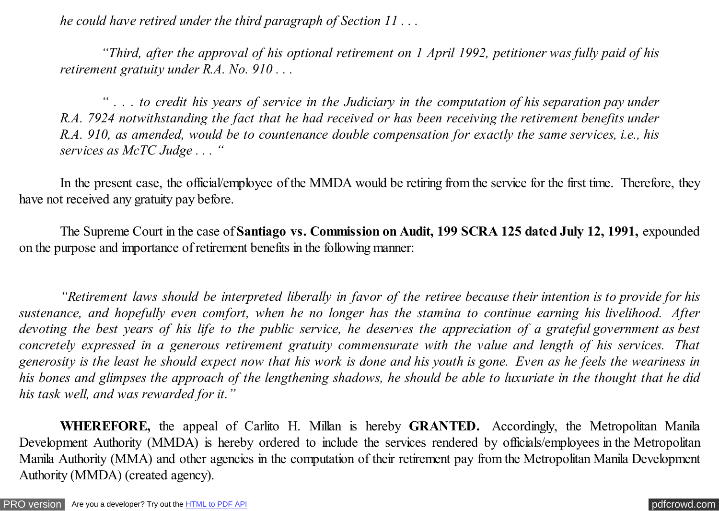*he could have retired under the third paragraph of Section 11 . . .*

*"Third, after the approval of his optional retirement on 1 April 1992, petitioner was fully paid of his retirement gratuity under R.A. No. 910 . . .*

*" . . . to credit his years of service in the Judiciary in the computation of his separation pay under R.A. 7924 notwithstanding the fact that he had received or has been receiving the retirement benefits under R.A. 910, as amended, would be to countenance double compensation for exactly the same services, i.e., his services as McTC Judge . . . "*

In the present case, the official/employee of the MMDA would be retiring from the service for the first time. Therefore, they have not received any gratuity pay before.

The Supreme Court in the case of **Santiago vs. Commission on Audit, 199 SCRA 125 dated July 12, 1991,** expounded on the purpose and importance of retirement benefits in the following manner:

*"Retirement laws should be interpreted liberally in favor of the retiree because their intention is to provide for his sustenance, and hopefully even comfort, when he no longer has the stamina to continue earning his livelihood. After devoting the best years of his life to the public service, he deserves the appreciation of a grateful government as best concretely expressed in a generous retirement gratuity commensurate with the value and length of his services. That generosity is the least he should expect now that his work is done and his youth is gone. Even as he feels the weariness in his bones and glimpses the approach of the lengthening shadows, he should be able to luxuriate in the thought that he did his task well, and was rewarded for it."*

**WHEREFORE,** the appeal of Carlito H. Millan is hereby **GRANTED.** Accordingly, the Metropolitan Manila Development Authority (MMDA) is hereby ordered to include the services rendered by officials/employees in the Metropolitan Manila Authority (MMA) and other agencies in the computation of their retirement pay from the Metropolitan Manila Development Authority (MMDA) (created agency).